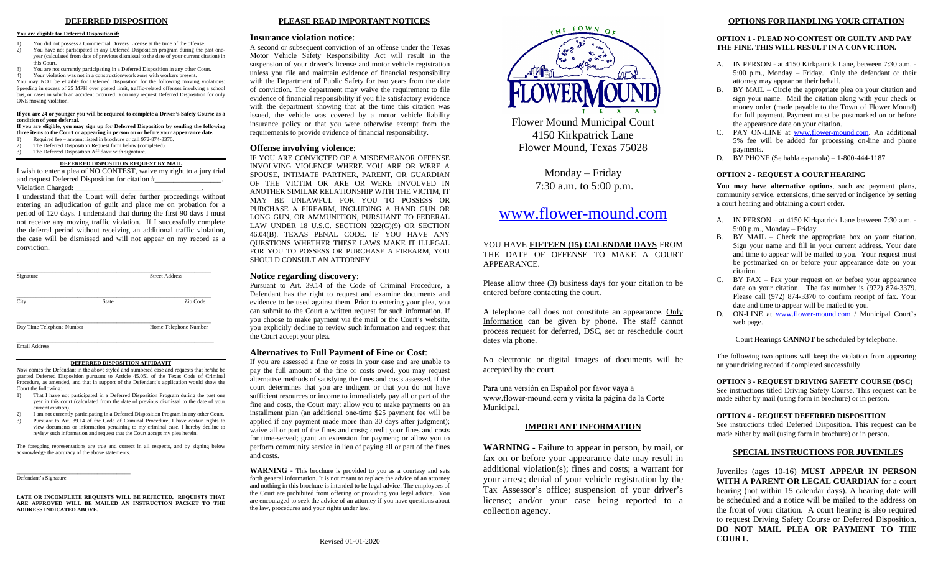# **DEFERRED DISPOSITION**

# **You are eligible for Deferred Disposition if:**

- 1) You did not possess a Commercial Drivers License at the time of the offense.<br>2) You have not participated in any Deferred Disposition program during the i 2) You have not participated in any Deferred Disposition program during the past one-year (calculated from date of previous dismissal to the date of your current citation) in this Court.
- 3) You are not currently participating in a Deferred Disposition in any other Court. 4) Your violation was not in a construction/work zone with workers present.

You may NOT be eligible for Deferred Disposition for the following moving violations:<br>Speeding in excess of 25 MPH over posted limit, traffic-related offenses involving a school<br>bus, or cases in which an accident occurred. ONE moving violation.

### If you are 24 or younger you will be required to complete a Driver's Safety Course as a **condition of your deferral.**

**If you are eligible, you may sign up for Deferred Disposition by sending the following three items to the Court or appearing in person on or before your appearance date.**<br>1) Required fee – amount listed in brochure or call 972-874-3370.

- 
- 2) The Deferred Disposition Request form below (completed).<br>
3) The Deferred Disposition Affidavit with signature.
- The Deferred Disposition Affidavit with signature.
- **DEFERRED DISPOSITION REQUEST BY MAIL**

I wish to enter a plea of NO CONTEST, waive my right to a jury trial and request Deferred Disposition for citation #\_ Violation Charged:

I understand that the Court will defer further proceedings without entering an adjudication of guilt and place me on probation for a period of 120 days. I understand that during the first 90 days I must not receive any moving traffic violation. If I successfully complete the deferral period without receiving an additional traffic violation, the case will be dismissed and will not appear on my record as a conviction.

| Signature                 |              | <b>Street Address</b> |  |
|---------------------------|--------------|-----------------------|--|
| City                      | <b>State</b> | Zip Code              |  |
| Day Time Telephone Number |              | Home Telephone Number |  |

\_\_\_\_\_\_\_\_\_\_\_\_\_\_\_\_\_\_\_\_\_\_\_\_\_\_\_\_\_\_\_\_\_\_\_\_\_\_\_\_\_\_\_\_\_\_\_\_\_\_\_\_\_\_\_\_\_\_\_\_\_\_\_\_\_\_\_\_\_\_\_ Email Address

### **DEFERRED DISPOSITION AFFIDAVIT**

Now comes the Defendant in the above styled and numbered case and requests that he/she be granted Deferred Disposition pursuant to Article 45.051 of the Texas Code of Criminal Procedure, as amended, and that in support of the Defendant's application would show the Court the following:

- 1) That I have not participated in a Deferred Disposition Program during the past one year in this court (calculated from the date of previous dismissal to the date of your current citation).
- 2) I am not currently participating in a Deferred Disposition Program in any other Court.<br>3) Pursuant to Art. 39.14 of the Code of Criminal Procedure. I have certain rights to 3) Pursuant to Art. 39.14 of the Code of Criminal Procedure, I have certain rights to view documents or information pertaining to my criminal case. I hereby decline to review such information and request that the Court accept my plea herein.

The foregoing representations are true and correct in all respects, and by signing below acknowledge the accuracy of the above statements.

# \_\_\_\_\_\_\_\_\_\_\_\_\_\_\_\_\_\_\_\_\_\_\_\_\_\_\_\_\_\_\_\_\_\_\_\_\_\_\_\_\_ Defendant's Signature

**LATE OR INCOMPLETE REQUESTS WILL BE REJECTED. REQUESTS THAT ARE APPROVED WILL BE MAILED AN INSTRUCTION PACKET TO THE ADDRESS INDICATED ABOVE.** 

# **PLEASE READ IMPORTANT NOTICES**

# **Insurance violation notice**:

A second or subsequent conviction of an offense under the Texas Motor Vehicle Safety Responsibility Act will result in the suspension of your driver's license and motor vehicle registration unless you file and maintain evidence of financial responsibility with the Department of Public Safety for two years from the date of conviction. The department may waive the requirement to file evidence of financial responsibility if you file satisfactory evidence with the department showing that at the time this citation was issued, the vehicle was covered by a motor vehicle liability insurance policy or that you were otherwise exempt from the requirements to provide evidence of financial responsibility.

# **Offense involving violence**:

IF YOU ARE CONVICTED OF A MISDEMEANOR OFFENSE INVOLVING VIOLENCE WHERE YOU ARE OR WERE A SPOUSE, INTIMATE PARTNER, PARENT, OR GUARDIAN OF THE VICTIM OR ARE OR WERE INVOLVED IN ANOTHER SIMILAR RELATIONSHIP WITH THE VICTIM, IT MAY BE UNLAWFUL FOR YOU TO POSSESS OR PURCHASE A FIREARM, INCLUDING A HAND GUN OR LONG GUN, OR AMMUNITION, PURSUANT TO FEDERAL LAW UNDER 18 U.S.C. SECTION 922(G)(9) OR SECTION 46.04(B). TEXAS PENAL CODE. IF YOU HAVE ANY QUESTIONS WHETHER THESE LAWS MAKE IT ILLEGAL FOR YOU TO POSSESS OR PURCHASE A FIREARM, YOU SHOULD CONSULT AN ATTORNEY.

# **Notice regarding discovery**:

Pursuant to Art. 39.14 of the Code of Criminal Procedure, a Defendant has the right to request and examine documents and evidence to be used against them. Prior to entering your plea, you can submit to the Court a written request for such information. If you choose to make payment via the mail or the Court's website, you explicitly decline to review such information and request that the Court accept your plea.

# **Alternatives to Full Payment of Fine or Cost**:

If you are assessed a fine or costs in your case and are unable to pay the full amount of the fine or costs owed, you may request alternative methods of satisfying the fines and costs assessed. If the court determines that you are indigent or that you do not have sufficient resources or income to immediately pay all or part of the fine and costs, the Court may: allow you to make payments on an installment plan (an additional one-time \$25 payment fee will be applied if any payment made more than 30 days after judgment); waive all or part of the fines and costs; credit your fines and costs for time-served; grant an extension for payment; or allow you to perform community service in lieu of paying all or part of the fines and costs.

**WARNING** - This brochure is provided to you as a courtesy and sets forth general information. It is not meant to replace the advice of an attorney and nothing in this brochure is intended to be legal advice. The employees of the Court are prohibited from offering or providing you legal advice. You are encouraged to seek the advice of an attorney if you have questions about the law, procedures and your rights under law.



Flower Mou 4150 K Flower Mo

> Mon  $7:30 a.$

# www.flow

YOU HAVE **FIFTEEN** THE DATE OF OFF APPEARANCE.

Please allow three (3) business entered before contacting

A telephone call does n Information can be given process request for defer dates via phone.

No electronic or digital accepted by the court.

Para una versión en Espa www.flower-mound.com Municipal.

# **IMPORTA**

**WARNING** - Failure fax on or before your additional violation(s) your arrest; denial of Tax Assessor's office license; and/or your collection agency.